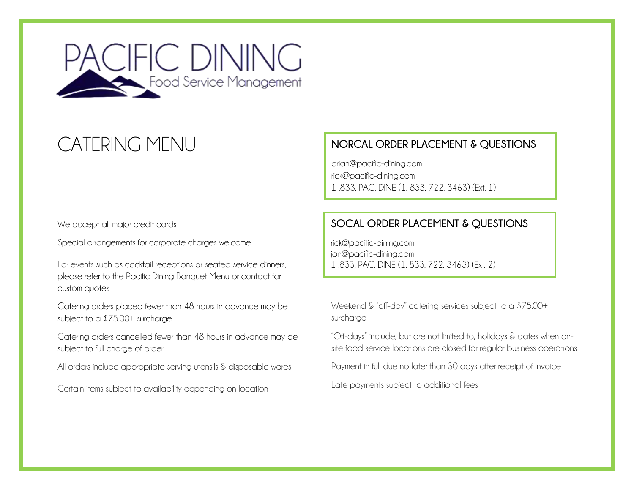

# CATERING MENU

#### We accept all major credit cards

Special arrangements for corporate charges welcome

For events such as cocktail receptions or seated service dinners, please refer to the Pacific Dining Banquet Menu or contact for custom quotes

Catering orders placed fewer than 48 hours in advance may be subject to a \$75.00+ surcharge

Catering orders cancelled fewer than 48 hours in advance may be subject to full charge of order

All orders include appropriate serving utensils & disposable wares

Certain items subject to availability depending on location

## **NORCAL ORDER PLACEMENT & QUESTIONS**

brian@pacific-dining.com [rick@pacific-dining.com](mailto:rick@pacific-dining.com) 1 .833. PAC. DINE (1. 833. 722. 3463) (Ext. 1)

## **SOCAL ORDER PLACEMENT & QUESTIONS**

rick[@pacific-dining.com](mailto:tim@pacific-dining.com)  [jon@pacific-dining.com](mailto:jon@pacific-dining.com)  1 .833. PAC. DINE (1. 833. 722. 3463) (Ext. 2)

Weekend & "off-day" catering services subject to a \$75.00+ surcharge

"Off-days" include, but are not limited to, holidays & dates when onsite food service locations are closed for regular business operations

Payment in full due no later than 30 days after receipt of invoice

Late payments subject to additional fees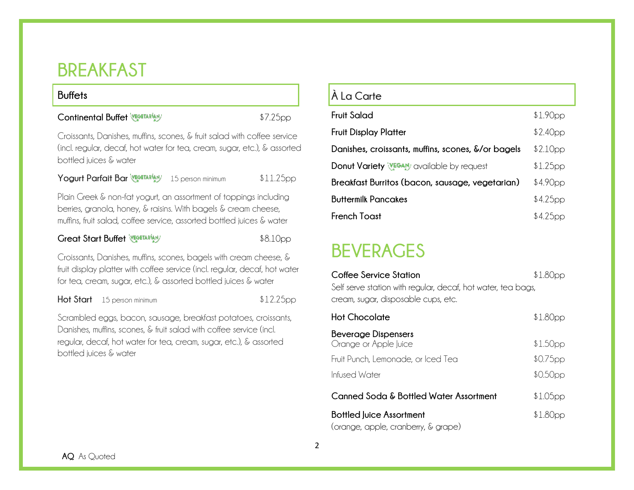## **BREAKFAST**

## **Buffets**

#### Continental Buffet **<b>CONTARIAN**

Croissants, Danishes, muffins, scones, & fruit salad with coffee service (incl. regular, decaf, hot water for tea, cream, sugar, etc.), & assorted bottled juices & water

**Yogurt Parfait Bar** *VESETARIAN* 15 person minimum \$11.25pp

Plain Greek & non-fat yogurt, an assortment of toppings including berries, granola, honey, & raisins. With bagels & cream cheese, muffins, fruit salad, coffee service, assorted bottled juices & water

#### **Great Start Buffet <b>EXPETARIAN**

Croissants, Danishes, muffins, scones, bagels with cream cheese, & fruit display platter with coffee service (incl. regular, decaf, hot water for tea, cream, sugar, etc.), & assorted bottled juices & water

#### **Hot Start** 15 person minimum \$12.25pp

Scrambled eggs, bacon, sausage, breakfast potatoes, croissants, Danishes, muffins, scones, & fruit salad with coffee service (incl. regular, decaf, hot water for tea, cream, sugar, etc.), & assorted bottled juices & water

## **À La Carte**

| \$1.90pp             |
|----------------------|
| \$2.40pp             |
| \$2.10 <sub>DP</sub> |
| \$1.25pp             |
| \$4.90pp             |
| \$4.25pp             |
| \$4.25 <sub>DD</sub> |
|                      |

## **BEVERAGES**

| Coffee Service Station<br>Self serve station with regular, decaf, hot water, tea bags,<br>cream, sugar, disposable cups, etc. | \$1.80 <sub>DP</sub> |
|-------------------------------------------------------------------------------------------------------------------------------|----------------------|
| Hot Chocolate                                                                                                                 | \$1.80pp             |
| Beverage Dispensers<br>Orange or Apple Juice<br>Fruit Punch, Lemonade, or Iced Tea                                            | \$1.50pp<br>\$0.75pp |
| Infused Water                                                                                                                 | \$0.50 <sub>pp</sub> |
| Canned Soda & Bottled Water Assortment                                                                                        | \$1.05pp             |
| <b>Bottled Juice Assortment</b><br>(orange, apple, cranberry, & grape)                                                        | \$1.80 <sub>pp</sub> |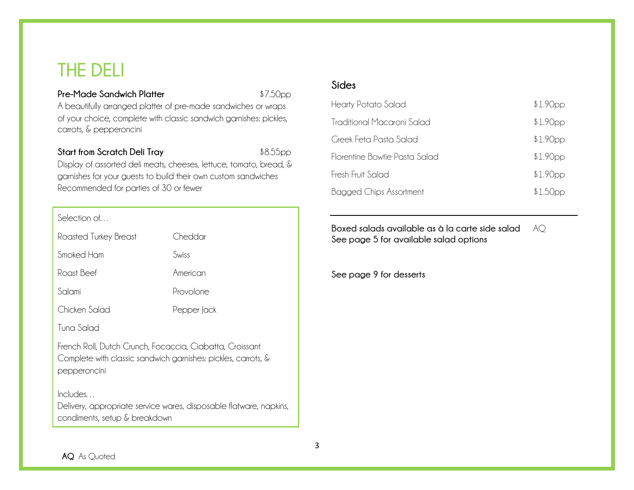## **THE DELI**

#### **Pre-Made Sandwich Platter** \$7.50pp

A beautifully arranged platter of pre-made sandwiches or wraps of your choice, complete with classic sandwich garnishes: pickles, carrots, & pepperoncini

#### **Start from Scratch Deli Tray** \$8.55pp

Display of assorted deli meats, cheeses, lettuce, tomato, bread, & garnishes for your guests to build their own custom sandwiches Recommended for parties of 30 or fewer

### Selection of…

| <b>Roasted Turkey Breast</b> | Cheddar   |
|------------------------------|-----------|
| Smoked Ham                   | Swiss     |
| Roast Beef                   | American  |
| Salami                       | Provolone |

Chicken Salad Pepper Jack

Tuna Salad

French Roll, Dutch Crunch, Focaccia, Ciabatta, Croissant Complete with classic sandwich garnishes: pickles, carrots, & pepperoncini

Includes…

Delivery, appropriate service wares, disposable flatware, napkins, condiments, setup & breakdown

### **Sides**

| <b>Hearty Potato Salad</b>     | \$1.90 <sub>pp</sub> |
|--------------------------------|----------------------|
| Traditional Macaroni Salad     | \$1.90 <sub>pp</sub> |
| Greek Feta Pasta Salad         | \$1.90 <sub>pp</sub> |
| Florentine Bowtie Pasta Salad  | \$1.90 <sub>pp</sub> |
| Fresh Fruit Salad              | \$1.90 <sub>pp</sub> |
| <b>Bagged Chips Assortment</b> | \$1.50 <sub>DP</sub> |

**Boxed salads available as à la carte side salad** AQ **See page 5 for available salad options** 

**See page 9 for desserts**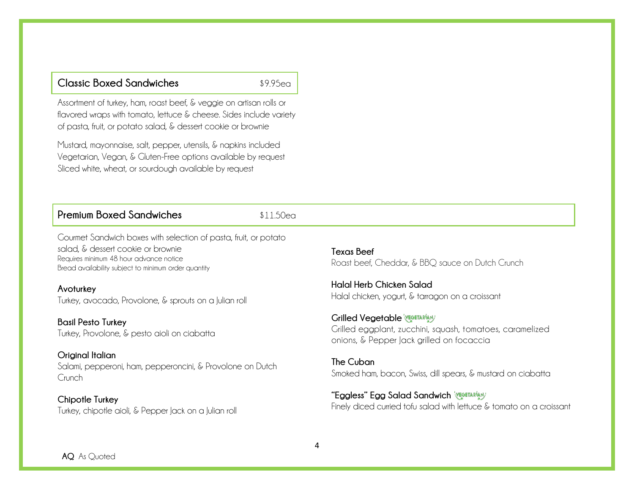## **Classic Boxed Sandwiches** \$9.95ea

Assortment of turkey, ham, roast beef, & veggie on artisan rolls or flavored wraps with tomato, lettuce & cheese. Sides include variety of pasta, fruit, or potato salad, & dessert cookie or brownie

Mustard, mayonnaise, salt, pepper, utensils, & napkins included Vegetarian, Vegan, & Gluten-Free options available by request Sliced white, wheat, or sourdough available by request

| <b>Premium Boxed Sandwiches</b>                                                                                                                                                                           | \$11.50ea                                                                                                                                      |
|-----------------------------------------------------------------------------------------------------------------------------------------------------------------------------------------------------------|------------------------------------------------------------------------------------------------------------------------------------------------|
| Gourmet Sandwich boxes with selection of pasta, fruit, or potato<br>salad, & dessert cookie or brownie<br>Requires minimum 48 hour advance notice<br>Bread availability subject to minimum order quantity | <b>Texas Beef</b><br>Roast beef, Cheddar, & BBQ sauce on Dutch Crunch                                                                          |
| Avoturkey<br>Turkey, avocado, Provolone, & sprouts on a Julian roll                                                                                                                                       | Halal Herb Chicken Salad<br>Halal chicken, yogurt, & tarragon on a croissant                                                                   |
| <b>Basil Pesto Turkey</b><br>Turkey, Provolone, & pesto aioli on ciabatta                                                                                                                                 | <b>Grilled Vegetable WIGETARIAN/</b><br>Grilled eggplant, zucchini, squash, tomatoes, caramelized<br>onions, & Pepper Jack grilled on focaccia |
| Original Italian<br>Salami, pepperoni, ham, pepperoncini, & Provolone on Dutch<br>Crunch                                                                                                                  | The Cuban<br>Smoked ham, bacon, Swiss, dill spears, & mustard on ciabatta                                                                      |
| <b>Chipotle Turkey</b><br>Turkey, chipotle aioli, & Pepper Jack on a Julian roll                                                                                                                          | "Eggless" Egg Salad Sandwich <b>WEGETARIAN</b><br>Finely diced curried tofu salad with lettuce & tomato on a croissant                         |
|                                                                                                                                                                                                           | 4                                                                                                                                              |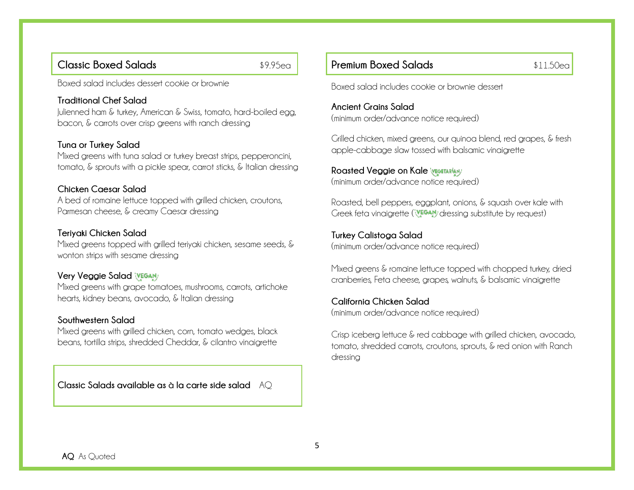## **Classic Boxed Salads** \$9.95ea

Boxed salad includes dessert cookie or brownie

#### **Traditional Chef Salad**

Julienned ham & turkey, American & Swiss, tomato, hard-boiled egg, bacon, & carrots over crisp greens with ranch dressing

#### **Tuna or Turkey Salad**

Mixed greens with tuna salad or turkey breast strips, pepperoncini, tomato, & sprouts with a pickle spear, carrot sticks, & Italian dressing

#### **Chicken Caesar Salad**

A bed of romaine lettuce topped with grilled chicken, croutons, Parmesan cheese, & creamy Caesar dressing

#### **Teriyaki Chicken Salad**

Mixed greens topped with grilled teriyaki chicken, sesame seeds, & wonton strips with sesame dressing

#### **Very Veggie Salad** *VEGAN*

Mixed greens with grape tomatoes, mushrooms, carrots, artichoke hearts, kidney beans, avocado, & Italian dressing

#### **Southwestern Salad**

Mixed greens with grilled chicken, corn, tomato wedges, black beans, tortilla strips, shredded Cheddar, & cilantro vinaigrette

**Classic Salads available as à la carte side salad** AQ

## **Premium Boxed Salads** \$11.50ea

Boxed salad includes cookie or brownie dessert

#### **Ancient Grains Salad** (minimum order/advance notice required)

Grilled chicken, mixed greens, our quinoa blend, red grapes, & fresh apple-cabbage slaw tossed with balsamic vinaigrette

#### **Roasted Veggie on Kale** *VEDETARIAN*

(minimum order/advance notice required)

Roasted, bell peppers, eggplant, onions, & squash over kale with Greek feta vinaigrette ('VEGAN dressing substitute by request)

#### **Turkey Calistoga Salad**

(minimum order/advance notice required)

Mixed greens & romaine lettuce topped with chopped turkey, dried cranberries, Feta cheese, grapes, walnuts, & balsamic vinaigrette

#### **California Chicken Salad**

(minimum order/advance notice required)

Crisp iceberg lettuce & red cabbage with grilled chicken, avocado, tomato, shredded carrots, croutons, sprouts, & red onion with Ranch dressing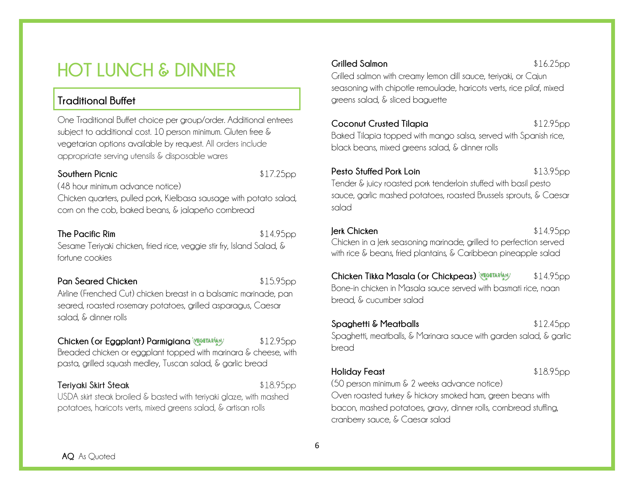## **HOT LUNCH & DINNER**

## **Traditional Buffet**

One Traditional Buffet choice per group/order. Additional entrees subject to additional cost. 10 person minimum. Gluten free & vegetarian options available by request. All orders include appropriate serving utensils & disposable wares

#### **Southern Picnic** \$17.25pp

(48 hour minimum advance notice)

Chicken quarters, pulled pork, Kielbasa sausage with potato salad, corn on the cob, baked beans, & jalapeño cornbread

#### **The Pacific Rim**  $$14.95po$

Sesame Teriyaki chicken, fried rice, veggie stir fry, Island Salad, & fortune cookies

#### **Pan Seared Chicken** \$15.95pp

Airline (Frenched Cut) chicken breast in a balsamic marinade, pan seared, roasted rosemary potatoes, grilled asparagus, Caesar salad, & dinner rolls

## **Chicken (or Eggplant) Parmigiana <b>VEGETARIAN** \$12.95pp

Breaded chicken or eggplant topped with marinara & cheese, with pasta, grilled squash medley, Tuscan salad, & garlic bread

#### **Teriyaki Skirt Steak** \$18.95pp

USDA skirt steak broiled & basted with teriyaki glaze, with mashed potatoes, haricots verts, mixed greens salad, & artisan rolls

#### **Grilled Salmon** \$16.25pp

Grilled salmon with creamy lemon dill sauce, teriyaki, or Cajun seasoning with chipotle remoulade, haricots verts, rice pilaf, mixed greens salad, & sliced baguette

## **Coconut Crusted Tilapia 612.95pp**

Baked Tilapia topped with mango salsa, served with Spanish rice, black beans, mixed greens salad, & dinner rolls

#### **Pesto Stuffed Pork Loin** \$13.95pp

Tender & juicy roasted pork tenderloin stuffed with basil pesto sauce, garlic mashed potatoes, roasted Brussels sprouts, & Caesar salad

#### **Jerk Chicken** \$14.95pp

Chicken in a Jerk seasoning marinade, grilled to perfection served with rice & beans, fried plantains, & Caribbean pineapple salad

#### **Chicken Tikka Masala (or Chickpeas) WEGETARIANY** \$14.95pp

Bone-in chicken in Masala sauce served with basmati rice, naan bread, & cucumber salad

#### **Spaghetti & Meatballs**  $$12.45pp$

Spaghetti, meatballs, & Marinara sauce with garden salad, & garlic bread

#### **Holiday Feast**  $$18.95<sub>DD</sub>$

(50 person minimum & 2 weeks advance notice) Oven roasted turkey & hickory smoked ham, green beans with bacon, mashed potatoes, gravy, dinner rolls, cornbread stuffing, cranberry sauce, & Caesar salad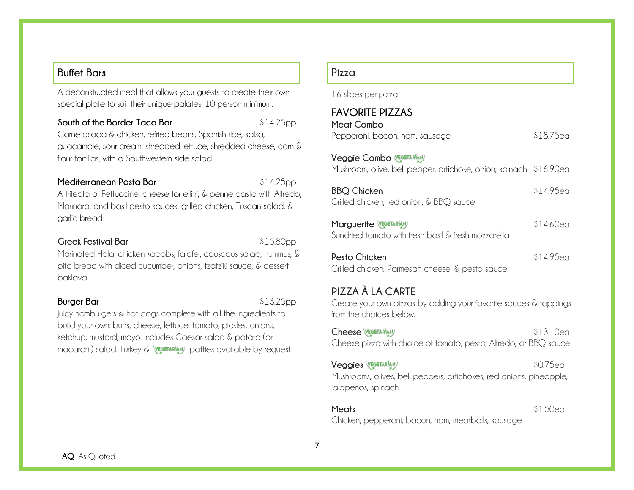## **Buffet Bars**

A deconstructed meal that allows your guests to create their own special plate to suit their unique palates. 10 person minimum.

**South of the Border Taco Bar** \$14.25pp

Carne asada & chicken, refried beans, Spanish rice, salsa, guacamole, sour cream, shredded lettuce, shredded cheese, corn & flour tortillas, with a Southwestern side salad

#### **Mediterranean Pasta Bar** \$14.25pp

A trifecta of Fettuccine, cheese tortellini, & penne pasta with Alfredo, Marinara, and basil pesto sauces, grilled chicken, Tuscan salad, & garlic bread

#### **Greek Festival Bar**  $$15.80po$

Marinated Halal chicken kabobs, falafel, couscous salad, hummus, & pita bread with diced cucumber, onions, tzatziki sauce, & dessert baklava

#### **Burger Bar**  $$13.25pp$

Juicy hamburgers & hot dogs complete with all the ingredients to build your own: buns, cheese, lettuce, tomato, pickles, onions, ketchup, mustard, mayo. Includes Caesar salad & potato (or macaroni) salad. Turkey & 'vicitiation' patties available by request

#### **Pizza**

16 slices per pizza

## **FAVORITE PIZZAS**

| <b>Meat Combo</b>                                                                                               |           |
|-----------------------------------------------------------------------------------------------------------------|-----------|
| Pepperoni, bacon, ham, sausage                                                                                  | \$18.75ea |
| <b>Veggie Combo VEGETARÍAN</b><br>Mushroom, olive, bell pepper, artichoke, onion, spinach \$16.90ea             |           |
| <b>BBQ Chicken</b><br>Grilled chicken, red onion, & BBQ sauce                                                   | \$14.95ea |
| Marguerite VEGETARÍAN/<br>Sundried tomato with fresh basil & fresh mozzarella                                   | \$14.60ea |
| Pesto Chicken<br>Grilled chicken, Parmesan cheese, & pesto sauce                                                | \$14.95ea |
| PIZZA À LA CARTE<br>Create your own pizzas by adding your favorite sauces & toppings<br>from the choices below. |           |
| Cheese <i>VEDETARIAN</i><br>Cheese pizza with choice of tomato, pesto, Alfredo, or BBQ sauce                    | \$13.10ea |
| Veggies VEGETARIAN<br>Mushrooms olives bell peppers artichakes red onions pineapple                             | \$0.75ea  |

Mushrooms, olives, bell peppers, artichokes, red onions, pineapple, jalapenos, spinach

**Meats**  $$1.50$ ea

Chicken, pepperoni, bacon, ham, meatballs, sausage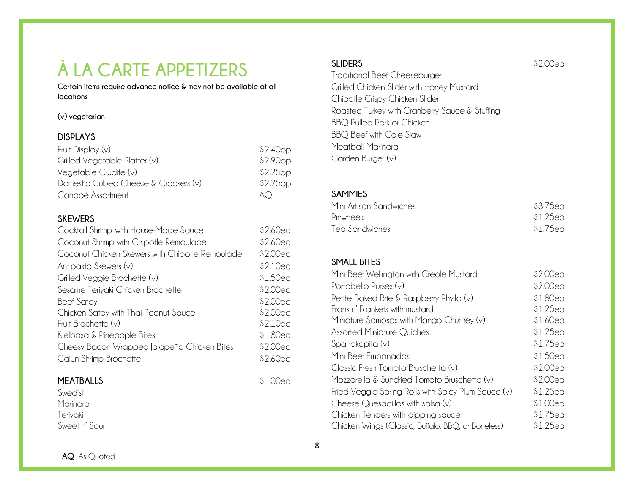# **À LA CARTE APPETIZERS**

**Certain items require advance notice & may not be available at all locations**

#### **(v) vegetarian**

#### **DISPLAYS**

| Fruit Display $(v)$                  | \$2.40pp |
|--------------------------------------|----------|
| Grilled Vegetable Platter (v)        | \$2.90pp |
| Vegetable Crudite (v)                | \$2.25pp |
| Domestic Cubed Cheese & Crackers (v) | \$2.25pp |
| Canapé Assortment                    | A()      |

#### **SKEWERS**

| Cocktail Shrimp with House-Made Sauce           | \$2.60ea |
|-------------------------------------------------|----------|
| Coconut Shrimp with Chipotle Remoulade          | \$2.60ea |
| Coconut Chicken Skewers with Chipotle Remoulade | \$2.00ea |
| Antipasto Skewers (v)                           | \$2.10ea |
| Crilled Veggie Brochette (v)                    | \$1.50ea |
| Sesame Teriyaki Chicken Brochette               | \$2.00ea |
| <b>Beef Satay</b>                               | \$2.00ea |
| Chicken Satay with Thai Peanut Sauce            | \$2.00ea |
| Fruit Brochette (v)                             | \$2.10ea |
| Kielbasa & Pineapple Bites                      | \$1.80ea |
| Cheesy Bacon Wrapped Jalapeño Chicken Bites     | \$2.00ea |
| Cajun Shrimp Brochette                          | \$2.60ea |
|                                                 |          |

#### **MEATBALLS** \$1.00ea

Swedish Marinara Teriyaki Sweet n' Sour

## **SLIDERS**  $$2.00eq$

Traditional Beef Cheeseburger Grilled Chicken Slider with Honey Mustard Chipotle Crispy Chicken Slider Roasted Turkey with Cranberry Sauce & Stuffing BBQ Pulled Pork or Chicken BBQ Beef with Cole Slaw Meatball Marinara Garden Burger (v)

#### **SAMMIES**

| Mini Artisan Sandwiches | \$3.75ea |
|-------------------------|----------|
| Pinwheels               | \$1.25ea |
| Tea Sandwiches          | \$1.75ea |

## **SMALL BITES**

| Mini Beef Wellington with Creole Mustard            | \$2.00ea   |
|-----------------------------------------------------|------------|
| Portobello Purses (v)                               | \$2.00ea   |
| Petite Baked Brie & Raspberry Phyllo (v)            | $$1.80$ ea |
| Frank n' Blankets with mustard                      | $$1.25$ ea |
| Miniature Samosas with Mango Chutney (v)            | \$1.60ea   |
| <b>Assorted Miniature Quiches</b>                   | $$1.25$ ea |
| Spanakopita (v)                                     | $$1.75$ ea |
| Mini Beef Empanadas                                 | $$1.50$ ea |
| Classic Fresh Tomato Bruschetta (v)                 | \$2.00ea   |
| Mozzarella & Sundried Tomato Bruschetta (v)         | \$2.00ea   |
| Fried Veggie Spring Rolls with Spicy Plum Sauce (v) | $$1.25$ ea |
| Cheese Quesadillas with salsa $(v)$                 | \$1.00ea   |
| Chicken Tenders with dipping sauce                  | $$1.75$ ea |
| Chicken Wings (Classic, Buffalo, BBQ, or Boneless)  | $$1.25$ ea |